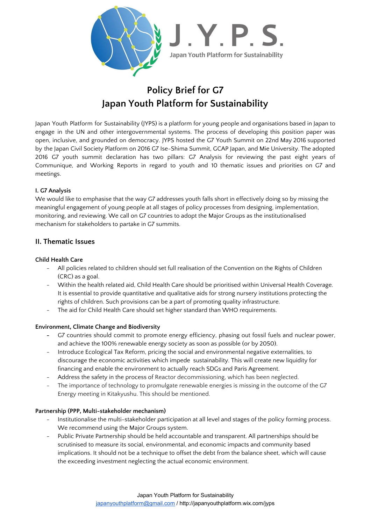

# **Policy Brief for G7 Japan Youth Platform for Sustainability**

Japan Youth Platform for Sustainability (JYPS) is a platform for young people and organisations based in Japan to engage in the UN and other intergovernmental systems. The process of developing this position paper was open, inclusive, and grounded on democracy. JYPS hosted the G7 Youth Summit on 22nd May 2016 supported by the Japan Civil Society Platform on 2016 G7 Ise-Shima Summit, GCAP Japan, and Mie University. The adopted 2016 G7 youth summit declaration has two pillars: G7 Analysis for reviewing the past eight years of Communique, and Working Reports in regard to youth and 10 thematic issues and priorities on G7 and meetings.

## **I. G7 Analysis**

We would like to emphasise that the way G7 addresses youth falls short in effectively doing so by missing the meaningful engagement of young people at all stages of policy processes from designing, implementation, monitoring, and reviewing. We call on G7 countries to adopt the Major Groups as the institutionalised mechanism for stakeholders to partake in G7 summits.

## **II. Thematic Issues**

## **Child Health Care**

- All policies related to children should set full realisation of the Convention on the Rights of Children (CRC) as a goal.
- Within the health related aid, Child Health Care should be prioritised within Universal Health Coverage. It is essential to provide quantitative and qualitative aids for strong nursery institutions protecting the rights of children. Such provisions can be a part of promoting quality infrastructure.
- The aid for Child Health Care should set higher standard than WHO requirements.

### **Environment, Climate Change and Biodiversity**

- **-** G7 countries should commit to promote energy efficiency, phasing out fossil fuels and nuclear power, and achieve the 100% renewable energy society as soon as possible (or by 2050).
- Introduce Ecological Tax Reform, pricing the social and environmental negative externalities, to discourage the economic activities which impede sustainability. This will create new liquidity for financing and enable the environment to actually reach SDGs and Paris Agreement.
- Address the safety in the process of Reactor decommissioning, which has been neglected.
- The importance of technology to promulgate renewable energies is missing in the outcome of the G7 Energy meeting in Kitakyushu. This should be mentioned.

### **Partnership (PPP, Multi-stakeholder mechanism)**

- Institutionalise the multi-stakeholder participation at all level and stages of the policy forming process. We recommend using the Major Groups system.
- Public Private Partnership should be held accountable and transparent. All partnerships should be scrutinised to measure its social, environmental, and economic impacts and community based implications. It should not be a technique to offset the debt from the balance sheet, which will cause the exceeding investment neglecting the actual economic environment.